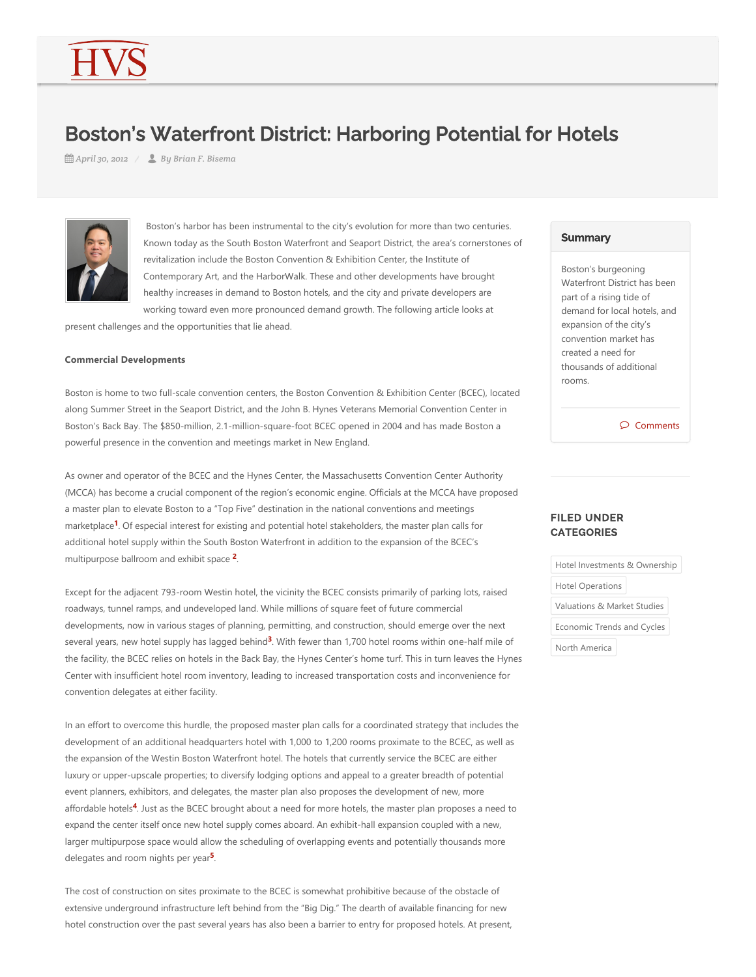# Boston's Waterfront District: Harboring Potential for Hotels

*April 30, 2012 By Brian F. Bisema*



 Boston's harbor has been instrumental to the city's evolution for more than two centuries. Known today as the South Boston Waterfront and Seaport District, the area's cornerstones of revitalization include the Boston Convention & Exhibition Center, the Institute of Contemporary Art, and the HarborWalk. These and other developments have brought healthy increases in demand to Boston hotels, and the city and private developers are working toward even more pronounced demand growth. The following article looks at

present challenges and the opportunities that lie ahead.

#### **Commercial Developments**

Boston is home to two full-scale convention centers, the Boston Convention & Exhibition Center (BCEC), located along Summer Street in the Seaport District, and the John B. Hynes Veterans Memorial Convention Center in Boston's Back Bay. The \$850‐million, 2.1‐million‐square‐foot BCEC opened in 2004 and has made Boston a powerful presence in the convention and meetings market in New England.

<span id="page-0-0"></span>As owner and operator of the BCEC and the Hynes Center, the Massachusetts Convention Center Authority (MCCA) has become a crucial component of the region's economic engine. Officials at the MCCA have proposed a master plan to elevate Boston to a "Top Five" destination in the national conventions and meetings marketplace<sup>1</sup>. Of especial interest for existing and potential hotel stakeholders, the master plan calls for additional hotel supply within the South Boston Waterfront in addition to the expansion of the BCEC's multipurpose ballroom and exhibit space <sup>2</sup>.

<span id="page-0-2"></span><span id="page-0-1"></span>Except for the adjacent 793‐room Westin hotel, the vicinity the BCEC consists primarily of parking lots, raised roadways, tunnel ramps, and undeveloped land. While millions of square feet of future commercial developments, now in various stages of planning, permitting, and construction, should emerge over the next several years, new hotel supply has lagged behind<sup>3</sup>. With fewer than 1,700 hotel rooms within one-half mile of the facility, the BCEC relies on hotels in the Back Bay, the Hynes Center's home turf. This in turn leaves the Hynes Center with insufficient hotel room inventory, leading to increased transportation costs and inconvenience for convention delegates at either facility.

<span id="page-0-3"></span>In an effort to overcome this hurdle, the proposed master plan calls for a coordinated strategy that includes the development of an additional headquarters hotel with 1,000 to 1,200 rooms proximate to the BCEC, as well as the expansion of the Westin Boston Waterfront hotel. The hotels that currently service the BCEC are either luxury or upper‐upscale properties; to diversify lodging options and appeal to a greater breadth of potential event planners, exhibitors, and delegates, the master plan also proposes the development of new, more affordable hotels<sup>4</sup>. Just as the BCEC brought about a need for more hotels, the master plan proposes a need to expand the center itself once new hotel supply comes aboard. An exhibit-hall expansion coupled with a new, larger multipurpose space would allow the scheduling of overlapping events and potentially thousands more delegates and room nights per year<sup>5</sup>.

<span id="page-0-4"></span>The cost of construction on sites proximate to the BCEC is somewhat prohibitive because of the obstacle of extensive underground infrastructure left behind from the "Big Dig." The dearth of available financing for new hotel construction over the past several years has also been a barrier to entry for proposed hotels. At present,

#### **Summary**

Boston's burgeoning Waterfront District has been part of a rising tide of demand for local hotels, and expansion of the city's convention market has created a need for thousands of additional rooms.

Comments

# FILED UNDER **CATEGORIES**

Hotel Investments & Ownership Hotel Operations Valuations & Market Studies Economic Trends and Cycles North America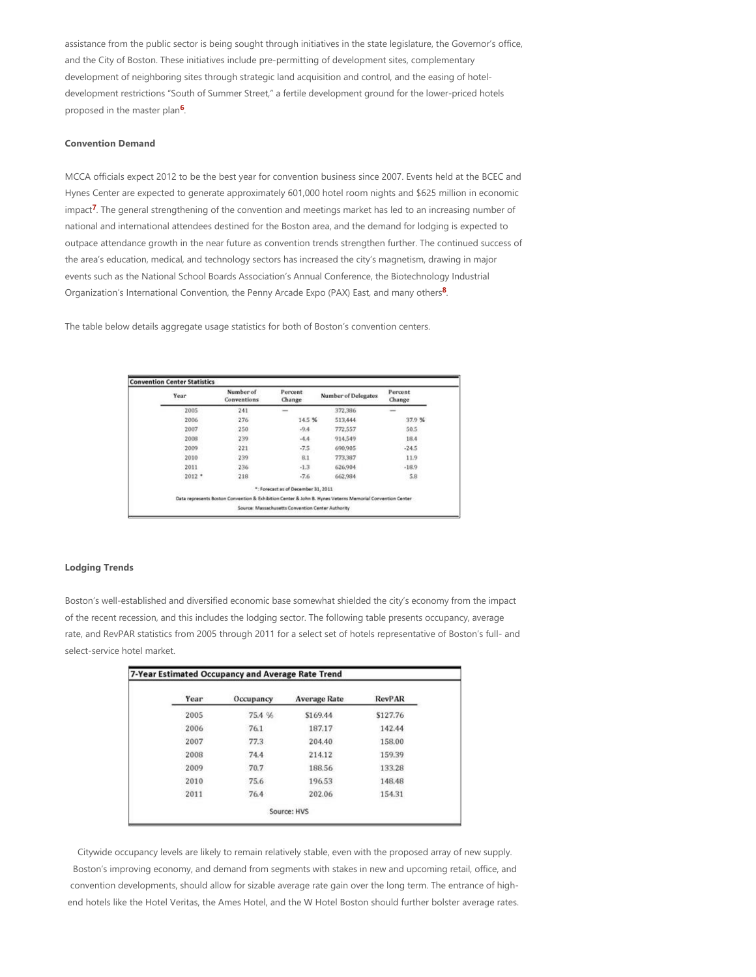assistance from the public sector is being sought through initiatives in the state legislature, the Governor's office, and the City of Boston. These initiatives include pre‐permitting of development sites, complementary development of neighboring sites through strategic land acquisition and control, and the easing of hotel‐ development restrictions "South of Summer Street," a fertile development ground for the lower‐priced hotels proposed in the master plan<sup>6</sup>.

# <span id="page-1-0"></span>**Convention Demand**

<span id="page-1-1"></span>MCCA officials expect 2012 to be the best year for convention business since 2007. Events held at the BCEC and Hynes Center are expected to generate approximately 601,000 hotel room nights and \$625 million in economic impact<sup>7</sup>. The general strengthening of the convention and meetings market has led to an increasing number of national and international attendees destined for the Boston area, and the demand for lodging is expected to outpace attendance growth in the near future as convention trends strengthen further. The continued success of the area's education, medical, and technology sectors has increased the city's magnetism, drawing in major events such as the National School Boards Association's Annual Conference, the Biotechnology Industrial Organization's International Convention, the Penny Arcade Expo (PAX) East, and many others<sup>8</sup>.

The table below details aggregate usage statistics for both of Boston's convention centers.

<span id="page-1-2"></span>

| Year     | Number of<br>Conventions | Percent<br>Change                                 | <b>Number of Delegates</b>                                                                               | Percent<br>Change |
|----------|--------------------------|---------------------------------------------------|----------------------------------------------------------------------------------------------------------|-------------------|
| 2005     | 241                      | -                                                 | 372,386                                                                                                  | -                 |
| 2006     | 276                      | 14.5 %                                            | 513,444                                                                                                  | 37.9%             |
| 2007     | 250                      | $-9.4$                                            | 772,557                                                                                                  | 50.5              |
| 2008     | 239                      | $-4.4$                                            | 914,549                                                                                                  | 18.4              |
| 2009     | 221                      | $-7.5$                                            | 690,905                                                                                                  | $-24.5$           |
| 2010     | 239                      | 8.1                                               | 773,387                                                                                                  | 11.9              |
| 2011     | 236                      | $-1.3$                                            | 626,904                                                                                                  | $-18.9$           |
| $2012$ * | 218                      | $-7.6$                                            | 662,984                                                                                                  | 5.8               |
|          |                          | *: Forecast as of December 31, 2011               |                                                                                                          |                   |
|          |                          |                                                   | Data represents Boston Convention & Exhibition Center & John B. Hynes Veterns Memorial Convention Center |                   |
|          |                          | Source: Massachusetts Convention Center Authority |                                                                                                          |                   |

#### **Lodging Trends**

Boston's well‐established and diversified economic base somewhat shielded the city's economy from the impact of the recent recession, and this includes the lodging sector. The following table presents occupancy, average rate, and RevPAR statistics from 2005 through 2011 for a select set of hotels representative of Boston's full‐ and select‐service hotel market.

| Year | Occupancy | <b>Average Rate</b> | <b>RevPAR</b> |
|------|-----------|---------------------|---------------|
| 2005 | 75.4 %    | \$169.44            | \$127.76      |
| 2006 | 76.1      | 187.17              | 142.44        |
| 2007 | 77.3      | 204.40              | 158.00        |
| 2008 | 74.4      | 214.12              | 159.39        |
| 2009 | 70.7      | 188.56              | 133.28        |
| 2010 | 75.6      | 196.53              | 148.48        |
| 2011 | 76.4      | 202.06              | 154.31        |

Citywide occupancy levels are likely to remain relatively stable, even with the proposed array of new supply. Boston's improving economy, and demand from segments with stakes in new and upcoming retail, office, and convention developments, should allow for sizable average rate gain over the long term. The entrance of highend hotels like the Hotel Veritas, the Ames Hotel, and the W Hotel Boston should further bolster average rates.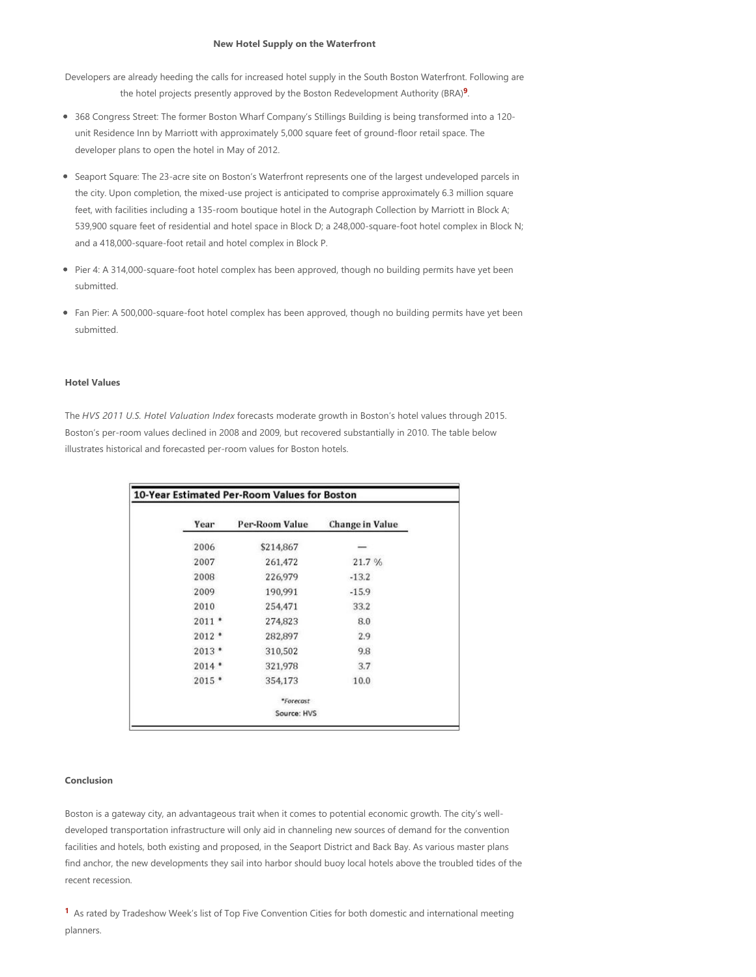#### <span id="page-2-0"></span>**New Hotel Supply on the Waterfront**

Developers are already heeding the calls for increased hotel supply in the South Boston Waterfront. Following are the hotel projects presently approved by the Boston Redevelopment Authority (BRA)<sup>9</sup>.

- 368 Congress Street: The former Boston Wharf Company's Stillings Building is being transformed into a 120‐ unit Residence Inn by Marriott with approximately 5,000 square feet of ground‐floor retail space. The developer plans to open the hotel in May of 2012.
- Seaport Square: The 23-acre site on Boston's Waterfront represents one of the largest undeveloped parcels in the city. Upon completion, the mixed‐use project is anticipated to comprise approximately 6.3 million square feet, with facilities including a 135-room boutique hotel in the Autograph Collection by Marriott in Block A; 539,900 square feet of residential and hotel space in Block D; a 248,000-square-foot hotel complex in Block N; and a 418,000‐square‐foot retail and hotel complex in Block P.
- Pier 4: A 314,000-square-foot hotel complex has been approved, though no building permits have yet been submitted.
- Fan Pier: A 500,000-square-foot hotel complex has been approved, though no building permits have yet been submitted.

#### **Hotel Values**

The *HVS 2011 U.S. Hotel Valuation Index* forecasts moderate growth in Boston's hotel values through 2015. Boston's per‐room values declined in 2008 and 2009, but recovered substantially in 2010. The table below illustrates historical and forecasted per‐room values for Boston hotels.

| Year    | Per-Room Value | Change in Value |  |
|---------|----------------|-----------------|--|
| 2006    | \$214,867      |                 |  |
| 2007    | 261,472        | 21.7%           |  |
| 2008    | 226,979        | $-13.2$         |  |
| 2009    | 190,991        | $-15.9$         |  |
| 2010    | 254,471        | 33.2            |  |
| $2011*$ | 274,823        | 8.0             |  |
| $2012*$ | 282,897        | 2.9             |  |
| $2013*$ | 310,502        | 9.8             |  |
| $2014*$ | 321,978        | 3.7             |  |
| $2015*$ | 354,173        | 10.0            |  |
|         | *Forecast      |                 |  |
|         | Source: HVS    |                 |  |

#### **Conclusion**

Boston is a gateway city, an advantageous trait when it comes to potential economic growth. The city's well‐ developed transportation infrastructure will only aid in channeling new sources of demand for the convention facilities and hotels, both existing and proposed, in the Seaport District and Back Bay. As various master plans find anchor, the new developments they sail into harbor should buoy local hotels above the troubled tides of the recent recession.

<sup>[1](#page-0-0)</sup> As rated by Tradeshow Week's list of Top Five Convention Cities for both domestic and international meeting planners.